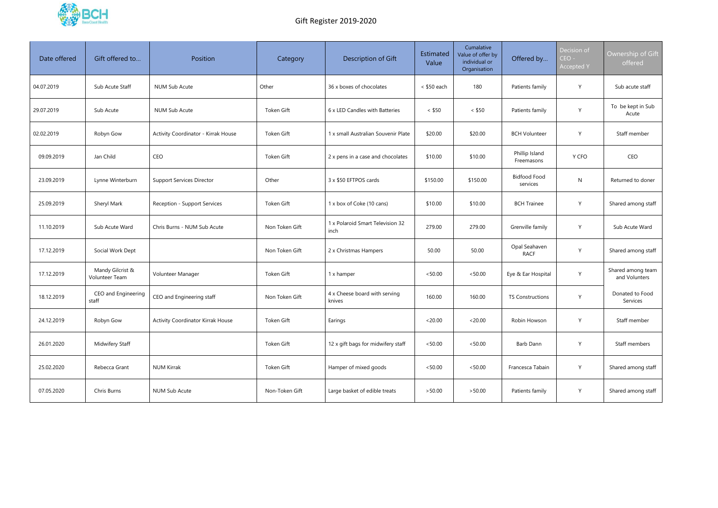

| Date offered | Gift offered to                    | Position                                 | Category       | Description of Gift                      | Estimated<br>Value | Cumalative<br>Value of offer by<br>individual or<br>Organisation | Offered by                      | Decision of<br>$CEO -$<br><b>Accepted Y</b> | Ownership of Gift<br>offered       |
|--------------|------------------------------------|------------------------------------------|----------------|------------------------------------------|--------------------|------------------------------------------------------------------|---------------------------------|---------------------------------------------|------------------------------------|
| 04.07.2019   | Sub Acute Staff                    | NUM Sub Acute                            | Other          | 36 x boxes of chocolates                 | < \$50 each        | 180                                                              | Patients family                 | Y                                           | Sub acute staff                    |
| 29.07.2019   | Sub Acute                          | <b>NUM Sub Acute</b>                     | Token Gift     | 6 x LED Candles with Batteries           | $<$ \$50           | $<$ \$50                                                         | Patients family                 | Y                                           | To be kept in Sub<br>Acute         |
| 02.02.2019   | Robyn Gow                          | Activity Coordinator - Kirrak House      | Token Gift     | 1 x small Australian Souvenir Plate      | \$20.00            | \$20.00                                                          | <b>BCH Volunteer</b>            | Y                                           | Staff member                       |
| 09.09.2019   | Jan Child                          | CEO                                      | Token Gift     | 2 x pens in a case and chocolates        | \$10.00            | \$10.00                                                          | Phillip Island<br>Freemasons    | Y CFO                                       | CEO                                |
| 23.09.2019   | Lynne Winterburn                   | <b>Support Services Director</b>         | Other          | 3 x \$50 EFTPOS cards                    | \$150.00           | \$150.00                                                         | <b>Bidfood Food</b><br>services | N                                           | Returned to doner                  |
| 25.09.2019   | Sheryl Mark                        | Reception - Support Services             | Token Gift     | 1 x box of Coke (10 cans)                | \$10.00            | \$10.00                                                          | <b>BCH Trainee</b>              | Y                                           | Shared among staff                 |
| 11.10.2019   | Sub Acute Ward                     | Chris Burns - NUM Sub Acute              | Non Token Gift | 1 x Polaroid Smart Television 32<br>inch | 279.00             | 279.00                                                           | Grenville family                | Y                                           | Sub Acute Ward                     |
| 17.12.2019   | Social Work Dept                   |                                          | Non Token Gift | 2 x Christmas Hampers                    | 50.00              | 50.00                                                            | Opal Seahaven<br><b>RACF</b>    | Y                                           | Shared among staff                 |
| 17.12.2019   | Mandy Gilcrist &<br>Volunteer Team | Volunteer Manager                        | Token Gift     | 1 x hamper                               | < 50.00            | < 50.00                                                          | Eye & Ear Hospital              | Y                                           | Shared among team<br>and Volunters |
| 18.12.2019   | CEO and Engineering<br>staff       | CEO and Engineering staff                | Non Token Gift | 4 x Cheese board with serving<br>knives  | 160.00             | 160.00                                                           | TS Constructions                | Y                                           | Donated to Food<br>Services        |
| 24.12.2019   | Robyn Gow                          | <b>Activity Coordinator Kirrak House</b> | Token Gift     | Earings                                  | < 20.00            | < 20.00                                                          | Robin Howson                    | Y                                           | Staff member                       |
| 26.01.2020   | Midwifery Staff                    |                                          | Token Gift     | 12 x gift bags for midwifery staff       | < 50.00            | < 50.00                                                          | Barb Dann                       | $\mathsf{Y}$                                | Staff members                      |
| 25.02.2020   | Rebecca Grant                      | <b>NUM Kirrak</b>                        | Token Gift     | Hamper of mixed goods                    | < 50.00            | < 50.00                                                          | Francesca Tabain                | $\mathsf Y$                                 | Shared among staff                 |
| 07.05.2020   | Chris Burns                        | NUM Sub Acute                            | Non-Token Gift | Large basket of edible treats            | >50.00             | >50.00                                                           | Patients family                 | $\mathsf{Y}$                                | Shared among staff                 |